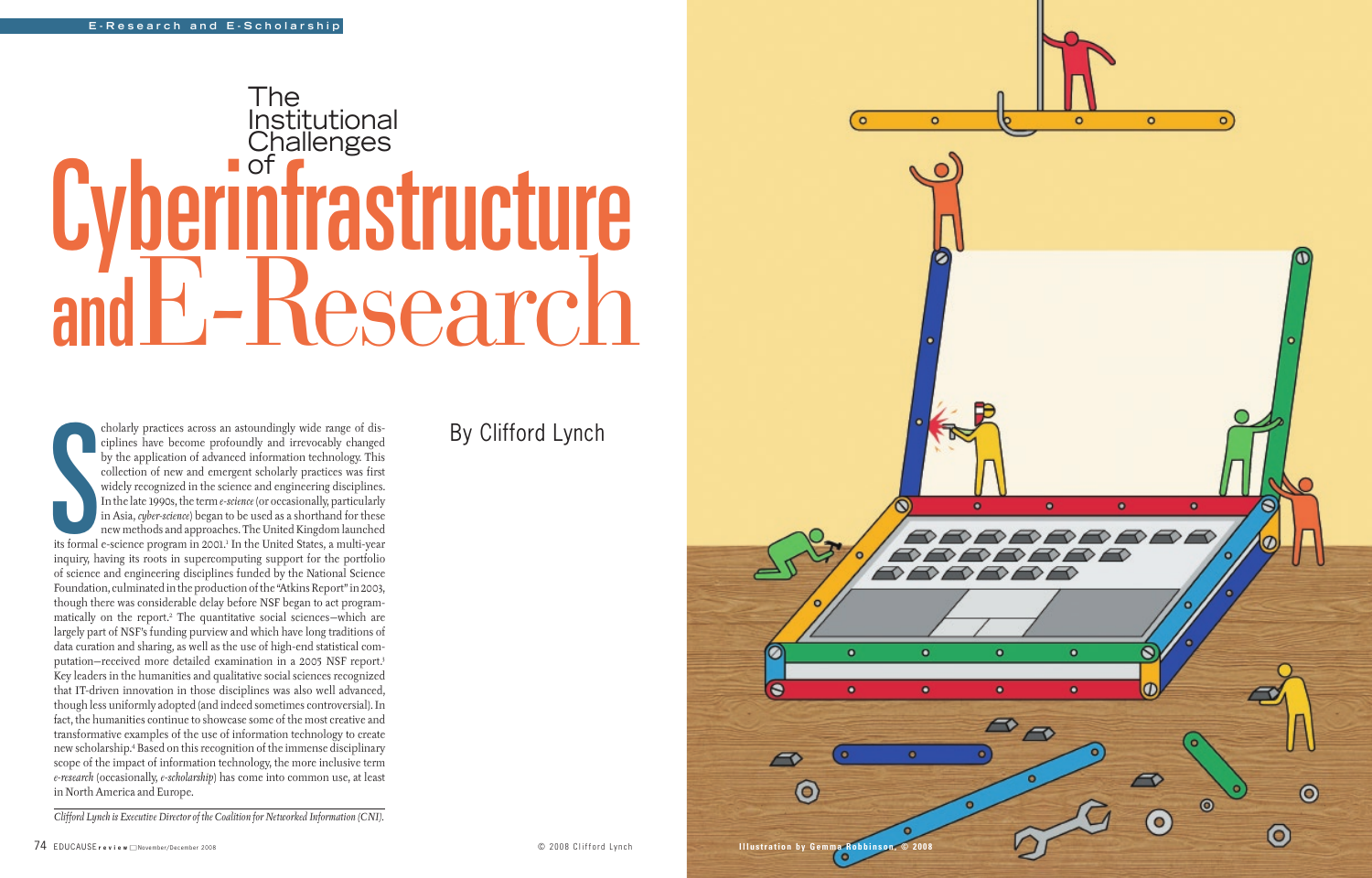74 Educause **review** November/December 2008 **Illustration by Gemma Robbinson, © 2008**

 $\odot$ 

 $\bullet$ 

 $\bullet$ 

 $\bullet$ 

 $\bullet$ 

 $\bullet$ 

 $\bullet$ 



 $\circ$ 

 $\bullet$ 



## By Clifford Lynch

*Clifford Lynch is Executive Director of the Coalition for Networked Information (CNI).* 

Site formal cholarly practices across an astoundingly wide range of disciplines have become profoundly and irrevocably changed by the application of advanced information technology. This collection of new and emergent scholarly practices was first widely recognized in the science and engineering disciplines. In the late 1990s, the term *e-science* (or occasionally, particularly in Asia, *cyber-science*) began to be used as a shorthand for these new methods and approaches. The United Kingdom launched its formal e-science program in 2001.<sup>1</sup> In the United States, a multi-year inquiry, having its roots in supercomputing support for the portfolio of science and engineering disciplines funded by the National Science Foundation, culminated in the production of the "Atkins Report" in 2003, though there was considerable delay before NSF began to act programmatically on the report.2 The quantitative social sciences—which are largely part of NSF's funding purview and which have long traditions of data curation and sharing, as well as the use of high-end statistical computation—received more detailed examination in a 2005 NSF report.3 Key leaders in the humanities and qualitative social sciences recognized that IT-driven innovation in those disciplines was also well advanced, though less uniformly adopted (and indeed sometimes controversial). In fact, the humanities continue to showcase some of the most creative and transformative examples of the use of information technology to create new scholarship.4 Based on this recognition of the immense disciplinary scope of the impact of information technology, the more inclusive term *e-research* (occasionally, *e-scholarship*) has come into common use, at least in North America and Europe.

# The Institutional **Challenges** of Cyberinfrastructure E-Research and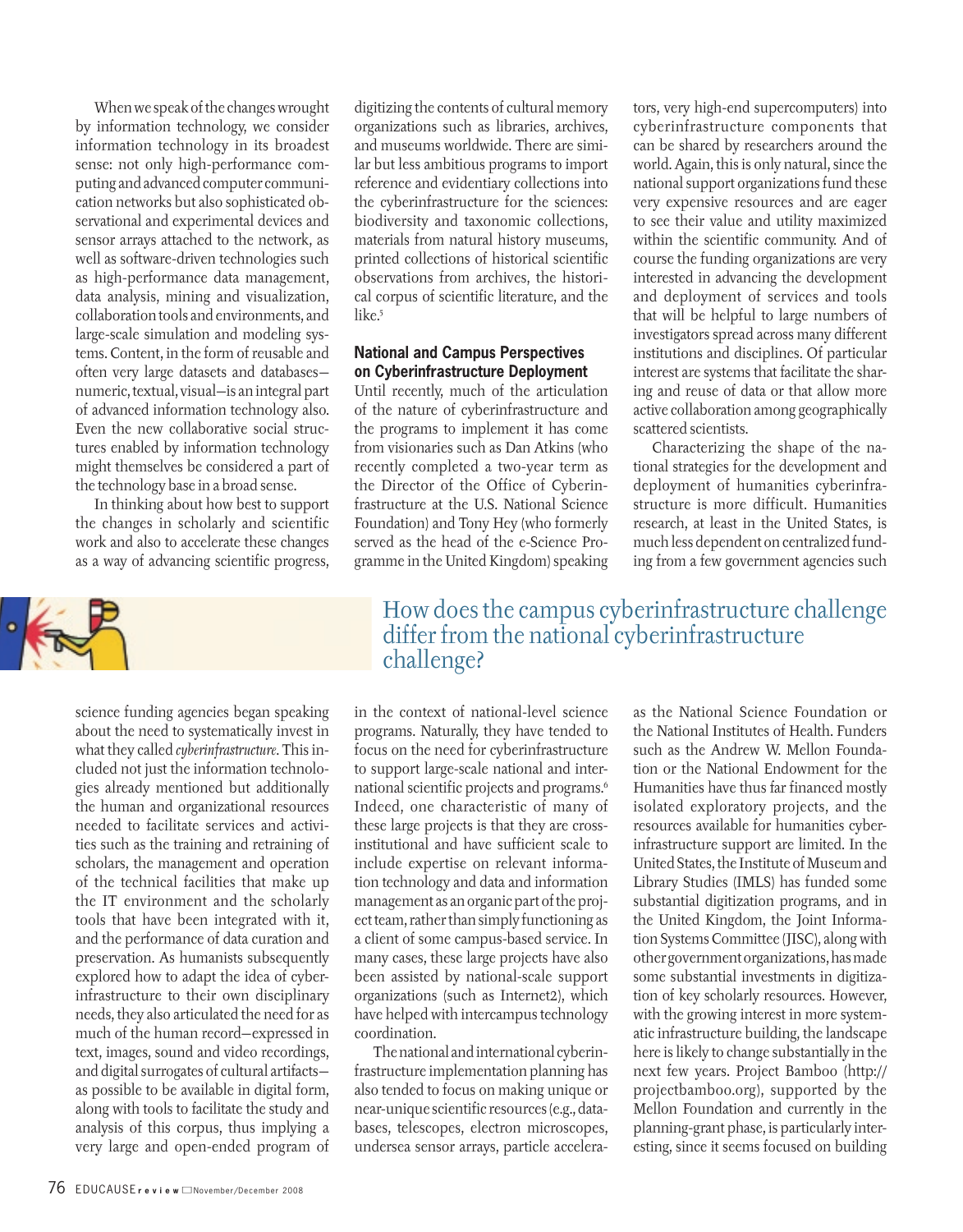When we speak of the changes wrought by information technology, we consider information technology in its broadest sense: not only high-performance computing and advanced computer communication networks but also sophisticated observational and experimental devices and sensor arrays attached to the network, as well as software-driven technologies such as high-performance data management, data analysis, mining and visualization, collaboration tools and environments, and large-scale simulation and modeling systems. Content, in the form of reusable and often very large datasets and databases numeric, textual, visual—is an integral part of advanced information technology also. Even the new collaborative social structures enabled by information technology might themselves be considered a part of the technology base in a broad sense.

In thinking about how best to support the changes in scholarly and scientific work and also to accelerate these changes as a way of advancing scientific progress,



science funding agencies began speaking about the need to systematically invest in what they called *cyberinfrastructure*. This included not just the information technologies already mentioned but additionally the human and organizational resources needed to facilitate services and activities such as the training and retraining of scholars, the management and operation of the technical facilities that make up the IT environment and the scholarly tools that have been integrated with it, and the performance of data curation and preservation. As humanists subsequently explored how to adapt the idea of cyberinfrastructure to their own disciplinary needs, they also articulated the need for as much of the human record—expressed in text, images, sound and video recordings, and digital surrogates of cultural artifacts as possible to be available in digital form, along with tools to facilitate the study and analysis of this corpus, thus implying a very large and open-ended program of

digitizing the contents of cultural memory organizations such as libraries, archives, and museums worldwide. There are similar but less ambitious programs to import reference and evidentiary collections into the cyberinfrastructure for the sciences: biodiversity and taxonomic collections, materials from natural history museums, printed collections of historical scientific observations from archives, the historical corpus of scientific literature, and the like.<sup>5</sup>

#### **National and Campus Perspectives on Cyberinfrastructure Deployment**

Until recently, much of the articulation of the nature of cyberinfrastructure and the programs to implement it has come from visionaries such as Dan Atkins (who recently completed a two-year term as the Director of the Office of Cyberinfrastructure at the U.S. National Science Foundation) and Tony Hey (who formerly served as the head of the e-Science Programme in the United Kingdom) speaking tors, very high-end supercomputers) into cyberinfrastructure components that can be shared by researchers around the world. Again, this is only natural, since the national support organizations fund these very expensive resources and are eager to see their value and utility maximized within the scientific community. And of course the funding organizations are very interested in advancing the development and deployment of services and tools that will be helpful to large numbers of investigators spread across many different institutions and disciplines. Of particular interest are systems that facilitate the sharing and reuse of data or that allow more active collaboration among geographically scattered scientists.

Characterizing the shape of the national strategies for the development and deployment of humanities cyberinfrastructure is more difficult. Humanities research, at least in the United States, is much less dependent on centralized funding from a few government agencies such

### How does the campus cyberinfrastructure challenge differ from the national cyberinfrastructure challenge?

in the context of national-level science programs. Naturally, they have tended to focus on the need for cyberinfrastructure to support large-scale national and international scientific projects and programs.6 Indeed, one characteristic of many of these large projects is that they are crossinstitutional and have sufficient scale to include expertise on relevant information technology and data and information management as an organic part of the project team, rather than simply functioning as a client of some campus-based service. In many cases, these large projects have also been assisted by national-scale support organizations (such as Internet2), which have helped with intercampus technology coordination.

The national and international cyberinfrastructure implementation planning has also tended to focus on making unique or near-unique scientific resources (e.g., databases, telescopes, electron microscopes, undersea sensor arrays, particle acceleraas the National Science Foundation or the National Institutes of Health. Funders such as the Andrew W. Mellon Foundation or the National Endowment for the Humanities have thus far financed mostly isolated exploratory projects, and the resources available for humanities cyberinfrastructure support are limited. In the United States, the Institute of Museum and Library Studies (IMLS) has funded some substantial digitization programs, and in the United Kingdom, the Joint Information Systems Committee (JISC), along with other government organizations, has made some substantial investments in digitization of key scholarly resources. However, with the growing interest in more systematic infrastructure building, the landscape here is likely to change substantially in the next few years. Project Bamboo (http:// projectbamboo.org), supported by the Mellon Foundation and currently in the planning-grant phase, is particularly interesting, since it seems focused on building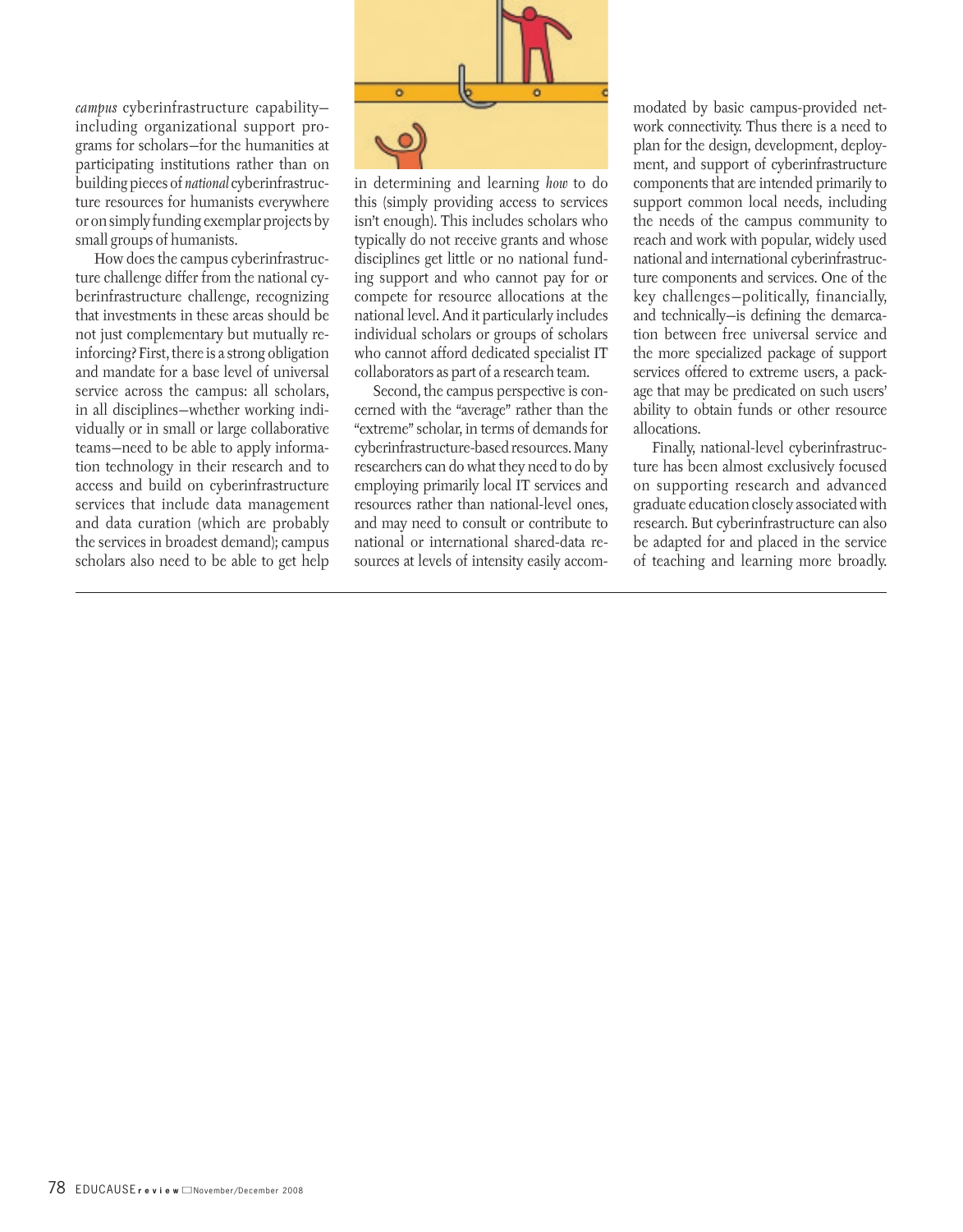*campus* cyberinfrastructure capability including organizational support programs for scholars—for the humanities at participating institutions rather than on building pieces of *national* cyberinfrastructure resources for humanists everywhere or on simply funding exemplar projects by small groups of humanists.

How does the campus cyberinfrastructure challenge differ from the national cyberinfrastructure challenge, recognizing that investments in these areas should be not just complementary but mutually reinforcing? First, there is a strong obligation and mandate for a base level of universal service across the campus: all scholars, in all disciplines—whether working individually or in small or large collaborative teams—need to be able to apply information technology in their research and to access and build on cyberinfrastructure services that include data management and data curation (which are probably the services in broadest demand); campus scholars also need to be able to get help



in determining and learning *how* to do this (simply providing access to services isn't enough). This includes scholars who typically do not receive grants and whose disciplines get little or no national funding support and who cannot pay for or compete for resource allocations at the national level. And it particularly includes individual scholars or groups of scholars who cannot afford dedicated specialist IT collaborators as part of a research team.

Second, the campus perspective is concerned with the "average" rather than the "extreme" scholar, in terms of demands for cyberinfrastructure-based resources. Many researchers can do what they need to do by employing primarily local IT services and resources rather than national-level ones, and may need to consult or contribute to national or international shared-data resources at levels of intensity easily accommodated by basic campus-provided network connectivity. Thus there is a need to plan for the design, development, deployment, and support of cyberinfrastructure components that are intended primarily to support common local needs, including the needs of the campus community to reach and work with popular, widely used national and international cyberinfrastructure components and services. One of the key challenges—politically, financially, and technically—is defining the demarcation between free universal service and the more specialized package of support services offered to extreme users, a package that may be predicated on such users' ability to obtain funds or other resource allocations.

Finally, national-level cyberinfrastructure has been almost exclusively focused on supporting research and advanced graduate education closely associated with research. But cyberinfrastructure can also be adapted for and placed in the service of teaching and learning more broadly.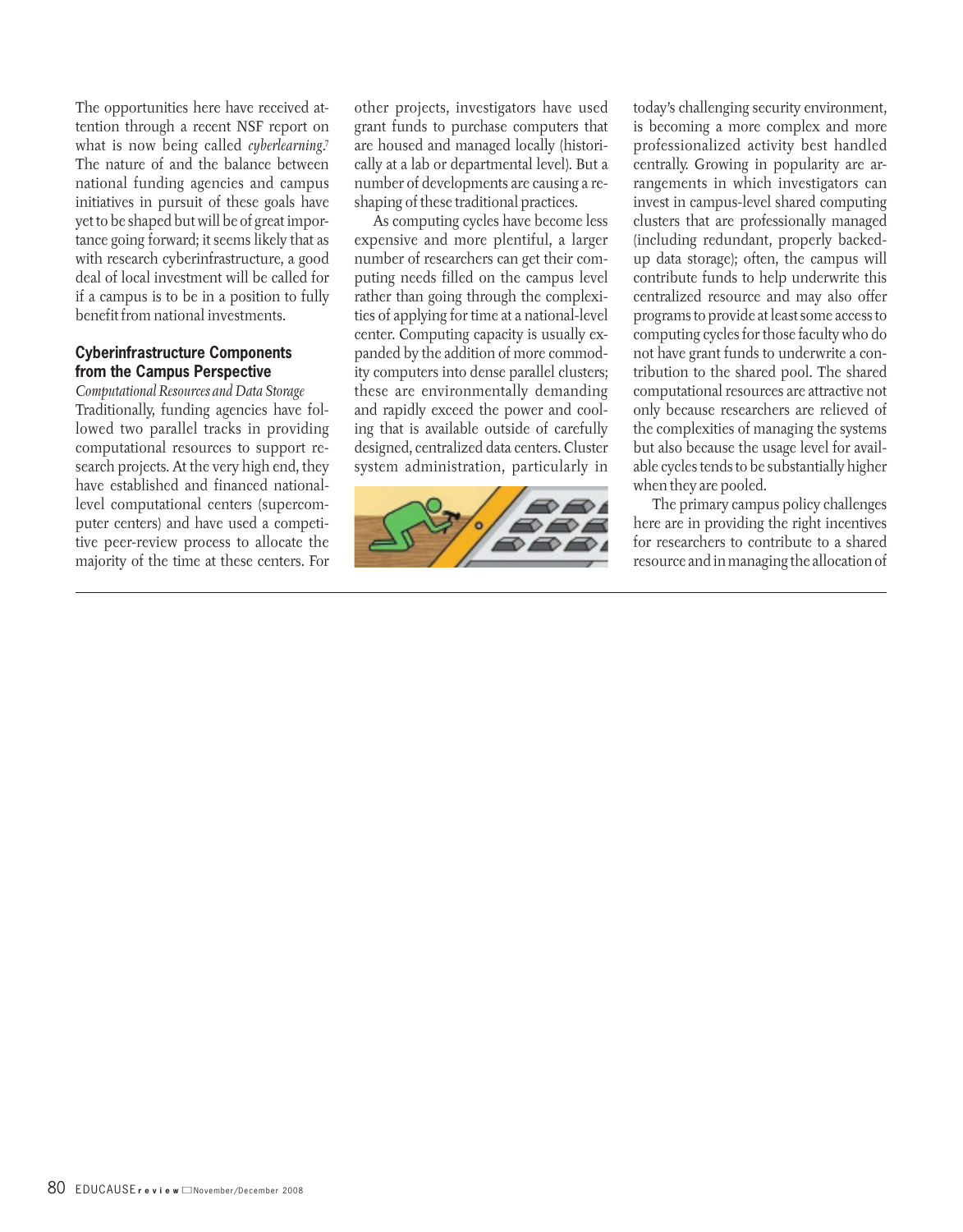The opportunities here have received attention through a recent NSF report on what is now being called *cyberlearning*. 7 The nature of and the balance between national funding agencies and campus initiatives in pursuit of these goals have yet to be shaped but will be of great importance going forward; it seems likely that as with research cyberinfrastructure, a good deal of local investment will be called for if a campus is to be in a position to fully benefit from national investments.

#### **Cyberinfrastructure Components from the Campus Perspective**

*Computational Resources and Data Storage* Traditionally, funding agencies have followed two parallel tracks in providing computational resources to support research projects. At the very high end, they have established and financed nationallevel computational centers (supercomputer centers) and have used a competitive peer-review process to allocate the majority of the time at these centers. For

other projects, investigators have used grant funds to purchase computers that are housed and managed locally (historically at a lab or departmental level). But a number of developments are causing a reshaping of these traditional practices.

As computing cycles have become less expensive and more plentiful, a larger number of researchers can get their computing needs filled on the campus level rather than going through the complexities of applying for time at a national-level center. Computing capacity is usually expanded by the addition of more commodity computers into dense parallel clusters; these are environmentally demanding and rapidly exceed the power and cooling that is available outside of carefully designed, centralized data centers. Cluster system administration, particularly in



today's challenging security environment, is becoming a more complex and more professionalized activity best handled centrally. Growing in popularity are arrangements in which investigators can invest in campus-level shared computing clusters that are professionally managed (including redundant, properly backedup data storage); often, the campus will contribute funds to help underwrite this centralized resource and may also offer programs to provide at least some access to computing cycles for those faculty who do not have grant funds to underwrite a contribution to the shared pool. The shared computational resources are attractive not only because researchers are relieved of the complexities of managing the systems but also because the usage level for available cycles tends to be substantially higher when they are pooled.

The primary campus policy challenges here are in providing the right incentives for researchers to contribute to a shared resource and in managing the allocation of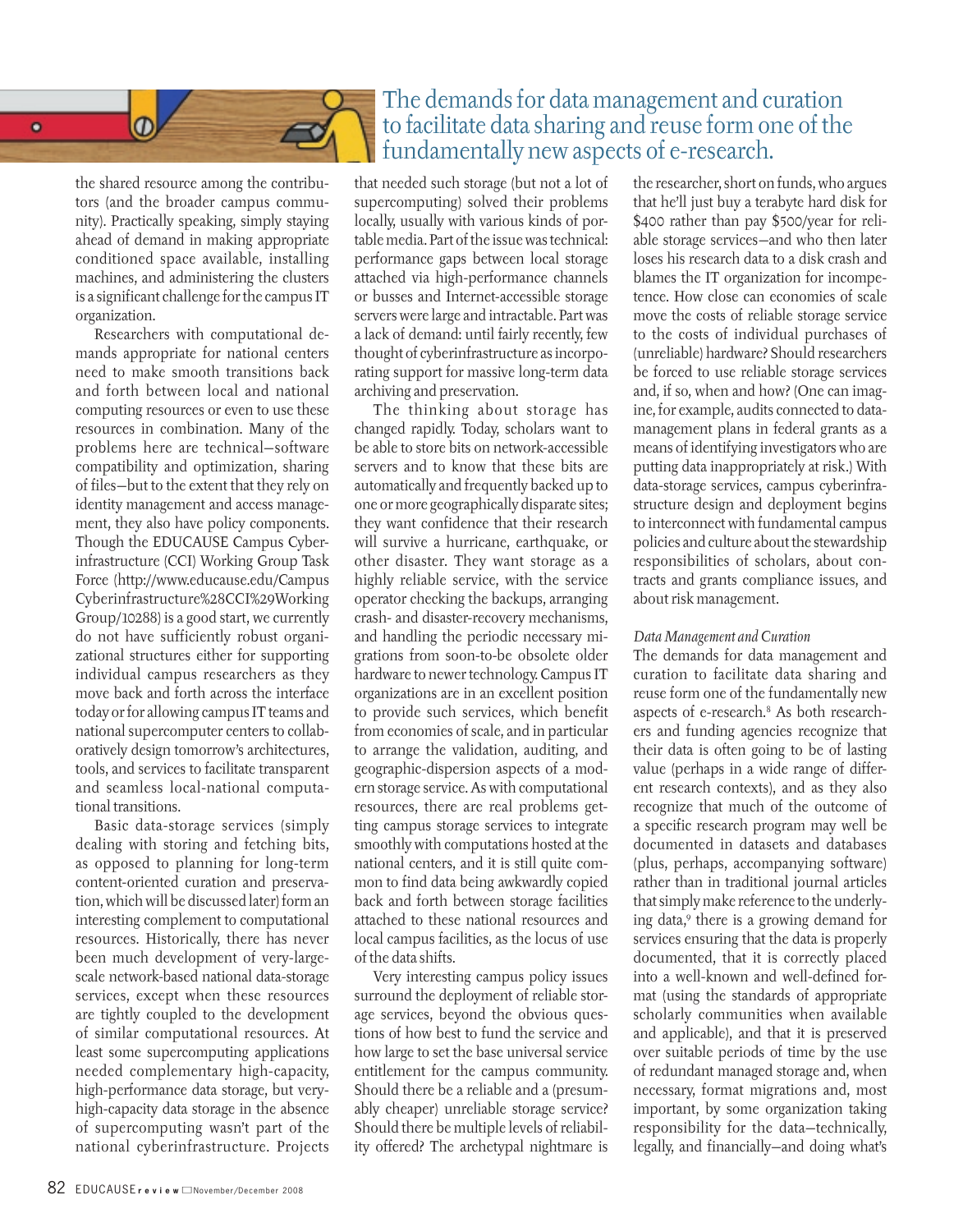

Researchers with computational demands appropriate for national centers need to make smooth transitions back and forth between local and national computing resources or even to use these resources in combination. Many of the problems here are technical—software compatibility and optimization, sharing of files—but to the extent that they rely on identity management and access management, they also have policy components. Though the EDUCAUSE Campus Cyberinfrastructure (CCI) Working Group Task Force (http://www.educause.edu/Campus Cyberinfrastructure%28CCI%29Working Group/10288) is a good start, we currently do not have sufficiently robust organizational structures either for supporting individual campus researchers as they move back and forth across the interface today or for allowing campus IT teams and national supercomputer centers to collaboratively design tomorrow's architectures, tools, and services to facilitate transparent and seamless local-national computational transitions.

Basic data-storage services (simply dealing with storing and fetching bits, as opposed to planning for long-term content-oriented curation and preservation, which will be discussed later) form an interesting complement to computational resources. Historically, there has never been much development of very-largescale network-based national data-storage services, except when these resources are tightly coupled to the development of similar computational resources. At least some supercomputing applications needed complementary high-capacity, high-performance data storage, but veryhigh-capacity data storage in the absence of supercomputing wasn't part of the national cyberinfrastructure. Projects

## The demands for data management and curation to facilitate data sharing and reuse form one of the fundamentally new aspects of e-research.

that needed such storage (but not a lot of supercomputing) solved their problems locally, usually with various kinds of portable media. Part of the issue was technical: performance gaps between local storage attached via high-performance channels or busses and Internet-accessible storage servers were large and intractable. Part was a lack of demand: until fairly recently, few thought of cyberinfrastructure as incorporating support for massive long-term data archiving and preservation.

The thinking about storage has changed rapidly. Today, scholars want to be able to store bits on network-accessible servers and to know that these bits are automatically and frequently backed up to one or more geographically disparate sites; they want confidence that their research will survive a hurricane, earthquake, or other disaster. They want storage as a highly reliable service, with the service operator checking the backups, arranging crash- and disaster-recovery mechanisms, and handling the periodic necessary migrations from soon-to-be obsolete older hardware to newer technology. Campus IT organizations are in an excellent position to provide such services, which benefit from economies of scale, and in particular to arrange the validation, auditing, and geographic-dispersion aspects of a modern storage service. As with computational resources, there are real problems getting campus storage services to integrate smoothly with computations hosted at the national centers, and it is still quite common to find data being awkwardly copied back and forth between storage facilities attached to these national resources and local campus facilities, as the locus of use of the data shifts.

Very interesting campus policy issues surround the deployment of reliable storage services, beyond the obvious questions of how best to fund the service and how large to set the base universal service entitlement for the campus community. Should there be a reliable and a (presumably cheaper) unreliable storage service? Should there be multiple levels of reliability offered? The archetypal nightmare is the researcher, short on funds, who argues that he'll just buy a terabyte hard disk for \$400 rather than pay \$500/year for reliable storage services—and who then later loses his research data to a disk crash and blames the IT organization for incompetence. How close can economies of scale move the costs of reliable storage service to the costs of individual purchases of (unreliable ) hardware? Should researchers be forced to use reliable storage services and, if so, when and how? (One can imagine, for example, audits connected to datamanagement plans in federal grants as a means of identifying investigators who are putting data inappropriately at risk.) With data-storage services, campus cyberinfrastructure design and deployment begins to interconnect with fundamental campus policies and culture about the stewardship responsibilities of scholars, about contracts and grants compliance issues, and about risk management.

#### *Data Management and Curation*

The demands for data management and curation to facilitate data sharing and reuse form one of the fundamentally new aspects of e-research.8 As both researchers and funding agencies recognize that their data is often going to be of lasting value (perhaps in a wide range of different research contexts), and as they also recognize that much of the outcome of a specific research program may well be documented in datasets and databases (plus, perhaps, accompanying software) rather than in traditional journal articles that simply make reference to the underlying data,9 there is a growing demand for services ensuring that the data is properly documented, that it is correctly placed into a well-known and well-defined format (using the standards of appropriate scholarly communities when available and applicable), and that it is preserved over suitable periods of time by the use of redundant managed storage and, when necessary, format migrations and, most important, by some organization taking responsibility for the data—technically, legally, and financially—and doing what's

 $\bullet$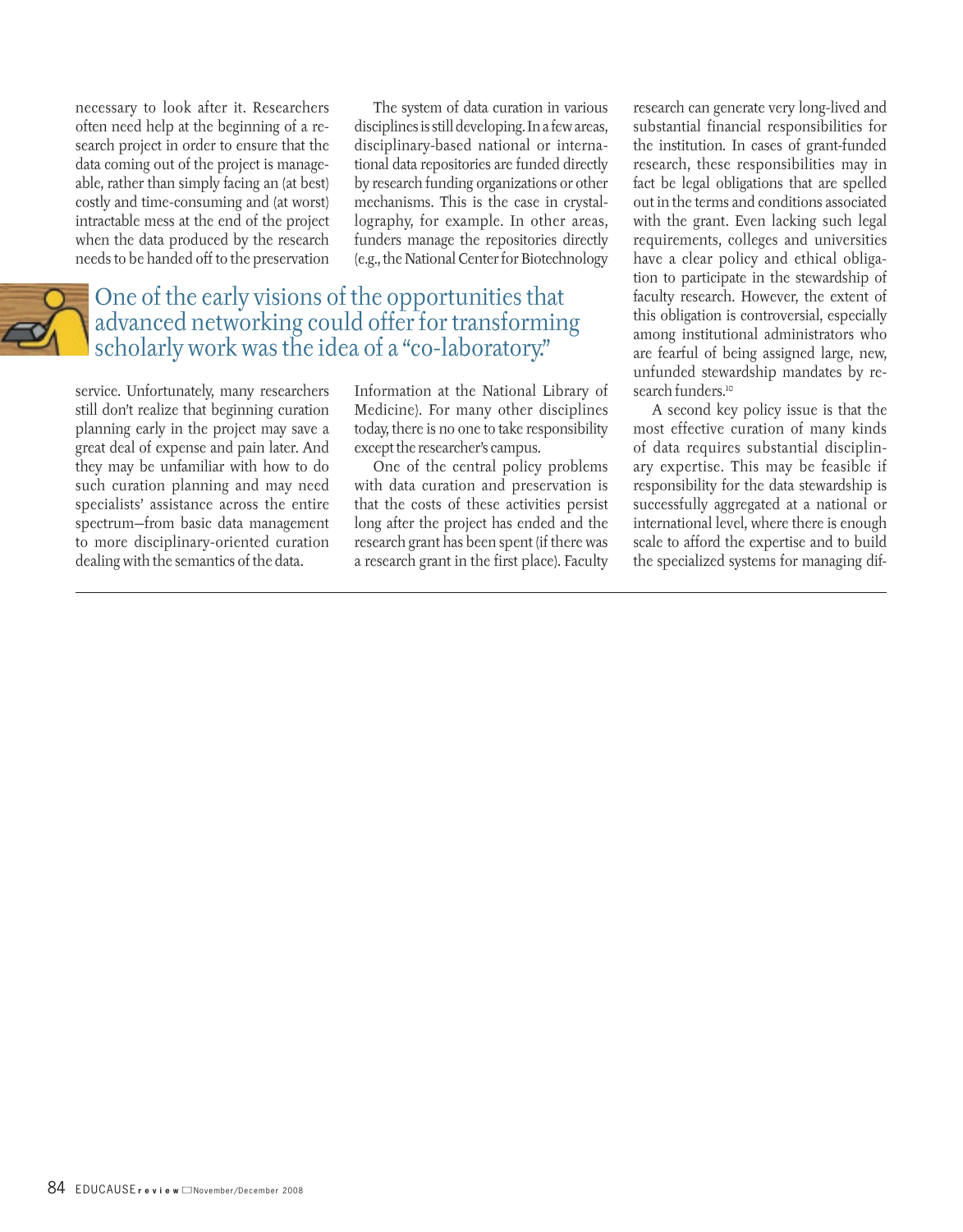necessary to look after it. Researchers often need help at the beginning of a research project in order to ensure that the data coming out of the project is manageable, rather than simply facing an (at best) costly and time-consuming and (at worst) intractable mess at the end of the project when the data produced by the research needs to be handed off to the preservation

The system of data curation in various disciplines is still developing. In a few areas, disciplinary-based national or international data repositories are funded directly by research funding organizations or other mechanisms. This is the case in crystallography, for example. In other areas, funders manage the repositories directly (e.g., the National Center for Biotechnology

## One of the early visions of the opportunities that advanced networking could offer for transforming scholarly work was the idea of a "co-laboratory."

service. Unfortunately, many researchers still don't realize that beginning curation planning early in the project may save a great deal of expense and pain later. And they may be unfamiliar with how to do such curation planning and may need specialists' assistance across the entire spectrum—from basic data management to more disciplinary-oriented curation dealing with the semantics of the data.

Information at the National Library of Medicine). For many other disciplines today, there is no one to take responsibility except the researcher's campus.

One of the central policy problems with data curation and preservation is that the costs of these activities persist long after the project has ended and the research grant has been spent (if there was a research grant in the first place). Faculty research can generate very long-lived and substantial financial responsibilities for the institution. In cases of grant-funded research, these responsibilities may in fact be legal obligations that are spelled out in the terms and conditions associated with the grant. Even lacking such legal requirements, colleges and universities have a clear policy and ethical obligation to participate in the stewardship of faculty research. However, the extent of this obligation is controversial, especially among institutional administrators who are fearful of being assigned large, new, unfunded stewardship mandates by research funders.<sup>10</sup>

A second key policy issue is that the most effective curation of many kinds of data requires substantial disciplinary expertise. This may be feasible if responsibility for the data stewardship is successfully aggregated at a national or international level, where there is enough scale to afford the expertise and to build the specialized systems for managing dif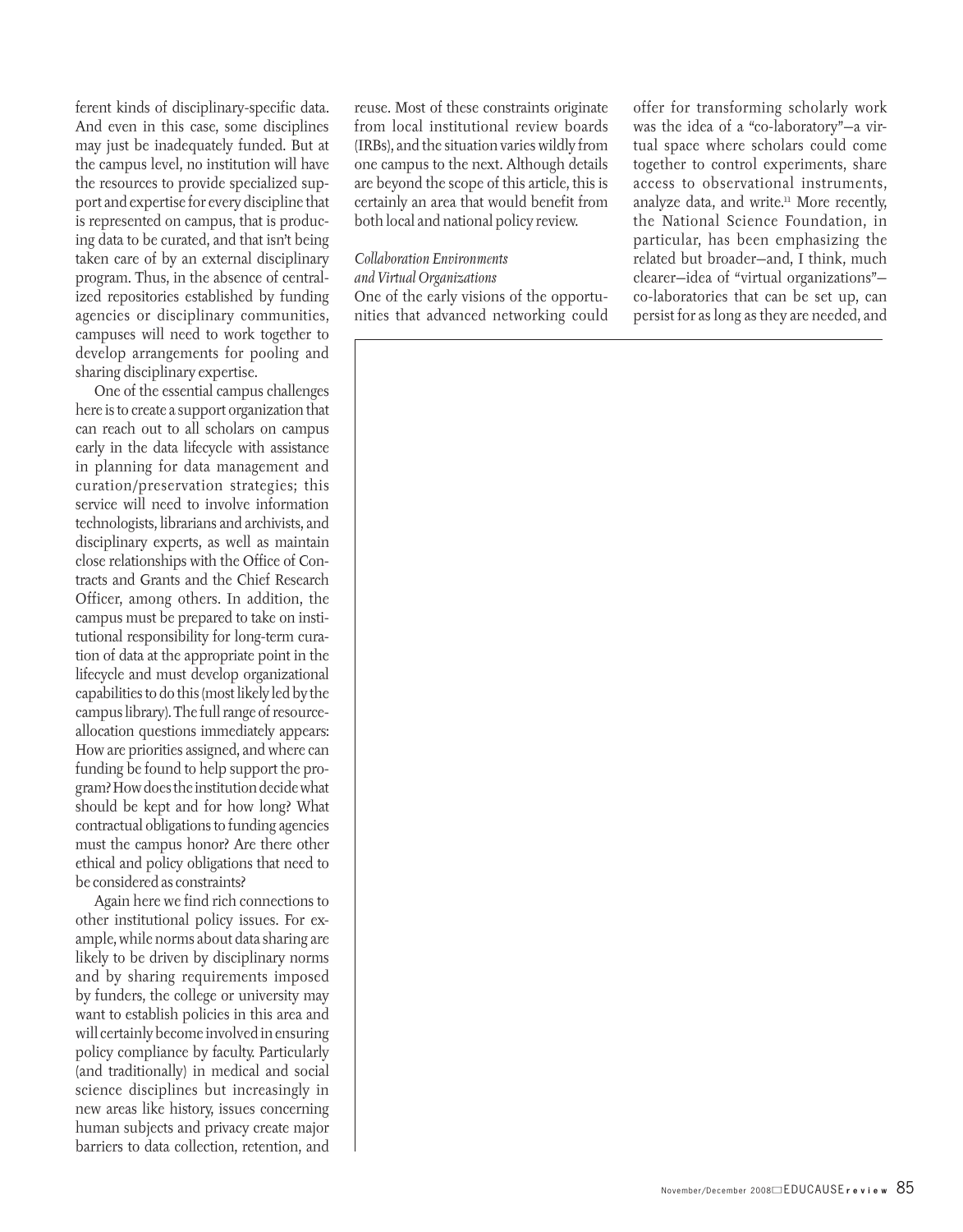ferent kinds of disciplinary-specific data. And even in this case, some disciplines may just be inadequately funded. But at the campus level, no institution will have the resources to provide specialized support and expertise for every discipline that is represented on campus, that is producing data to be curated, and that isn't being taken care of by an external disciplinary program. Thus, in the absence of centralized repositories established by funding agencies or disciplinary communities, campuses will need to work together to develop arrangements for pooling and sharing disciplinary expertise.

One of the essential campus challenges here is to create a support organization that can reach out to all scholars on campus early in the data lifecycle with assistance in planning for data management and curation/preservation strategies; this service will need to involve information technologists, librarians and archivists, and disciplinary experts, as well as maintain close relationships with the Office of Contracts and Grants and the Chief Research Officer, among others. In addition, the campus must be prepared to take on institutional responsibility for long-term curation of data at the appropriate point in the lifecycle and must develop organizational capabilities to do this (most likely led by the campus library). The full range of resourceallocation questions immediately appears: How are priorities assigned, and where can funding be found to help support the program? How does the institution decide what should be kept and for how long? What contractual obligations to funding agencies must the campus honor? Are there other ethical and policy obligations that need to be considered as constraints?

Again here we find rich connections to other institutional policy issues. For example, while norms about data sharing are likely to be driven by disciplinary norms and by sharing requirements imposed by funders, the college or university may want to establish policies in this area and will certainly become involved in ensuring policy compliance by faculty. Particularly (and traditionally) in medical and social science disciplines but increasingly in new areas like history, issues concerning human subjects and privacy create major barriers to data collection, retention, and reuse. Most of these constraints originate from local institutional review boards (IRBs), and the situation varies wildly from one campus to the next. Although details are beyond the scope of this article, this is certainly an area that would benefit from both local and national policy review.

#### *Collaboration Environments and Virtual Organizations* One of the early visions of the opportunities that advanced networking could

offer for transforming scholarly work was the idea of a "co-laboratory"—a virtual space where scholars could come together to control experiments, share access to observational instruments, analyze data, and write.11 More recently, the National Science Foundation, in particular, has been emphasizing the related but broader—and, I think, much clearer—idea of "virtual organizations" co-laboratories that can be set up, can persist for as long as they are needed, and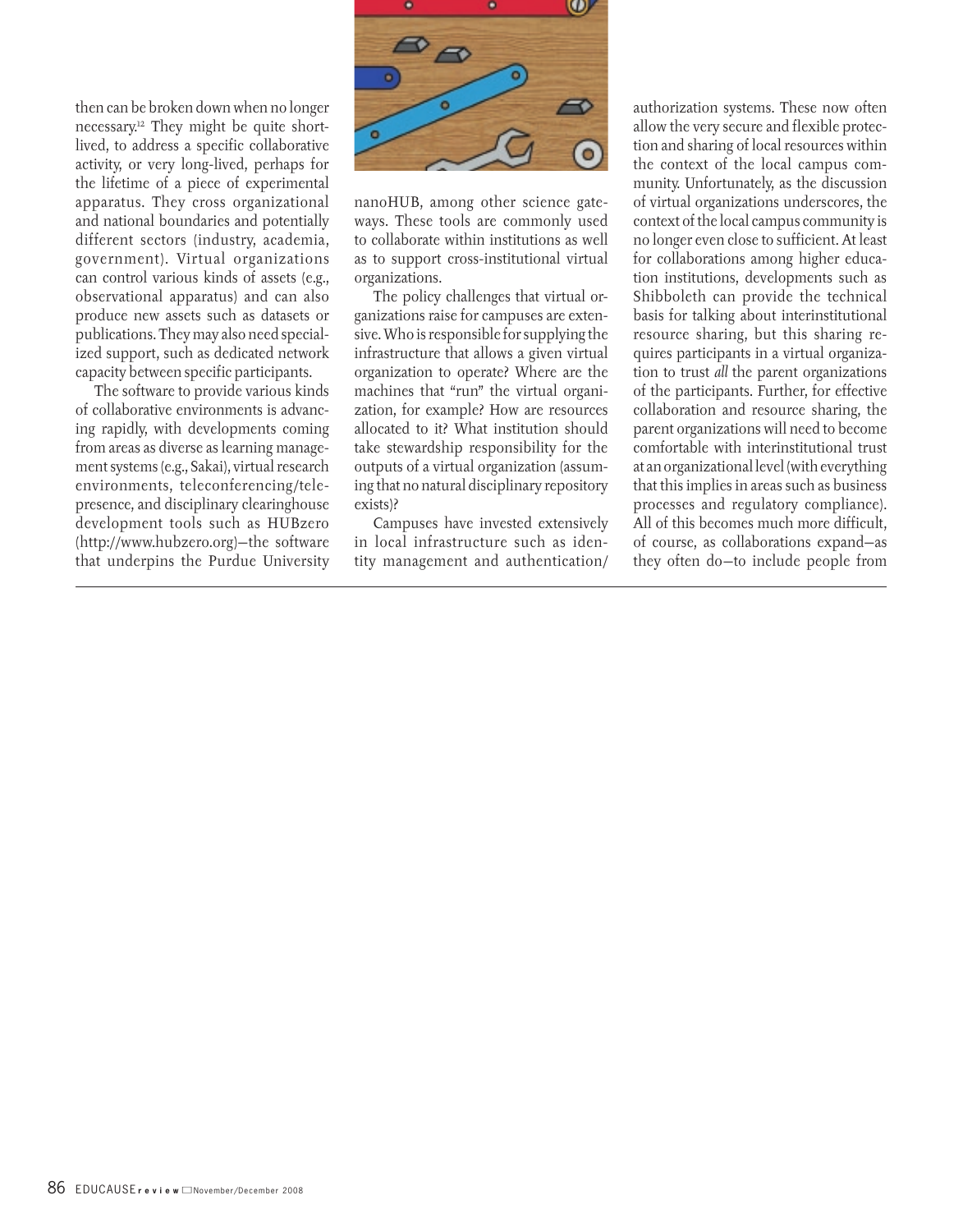then can be broken down when no longer necessary.12 They might be quite shortlived, to address a specific collaborative activity, or very long-lived, perhaps for the lifetime of a piece of experimental apparatus. They cross organizational and national boundaries and potentially different sectors (industry, academia, government). Virtual organizations can control various kinds of assets (e.g., observational apparatus) and can also produce new assets such as datasets or publications. They may also need specialized support, such as dedicated network capacity between specific participants.

The software to provide various kinds of collaborative environments is advancing rapidly, with developments coming from areas as diverse as learning management systems (e.g., Sakai), virtual research environments, teleconferencing/telepresence, and disciplinary clearinghouse development tools such as HUBzero (http://www.hubzero.org)—the software that underpins the Purdue University



nanoHUB, among other science gateways. These tools are commonly used to collaborate within institutions as well as to support cross-institutional virtual organizations.

The policy challenges that virtual organizations raise for campuses are extensive. Who is responsible for supplying the infrastructure that allows a given virtual organization to operate? Where are the machines that "run" the virtual organization, for example? How are resources allocated to it? What institution should take stewardship responsibility for the outputs of a virtual organization (assuming that no natural disciplinary repository exists)?

Campuses have invested extensively in local infrastructure such as identity management and authentication/ authorization systems. These now often allow the very secure and flexible protection and sharing of local resources within the context of the local campus community. Unfortunately, as the discussion of virtual organizations underscores, the context of the local campus community is no longer even close to sufficient. At least for collaborations among higher education institutions, developments such as Shibboleth can provide the technical basis for talking about interinstitutional resource sharing, but this sharing requires participants in a virtual organization to trust *all* the parent organizations of the participants. Further, for effective collaboration and resource sharing, the parent organizations will need to become comfortable with interinstitutional trust at an organizational level (with everything that this implies in areas such as business processes and regulatory compliance). All of this becomes much more difficult, of course, as collaborations expand—as they often do—to include people from